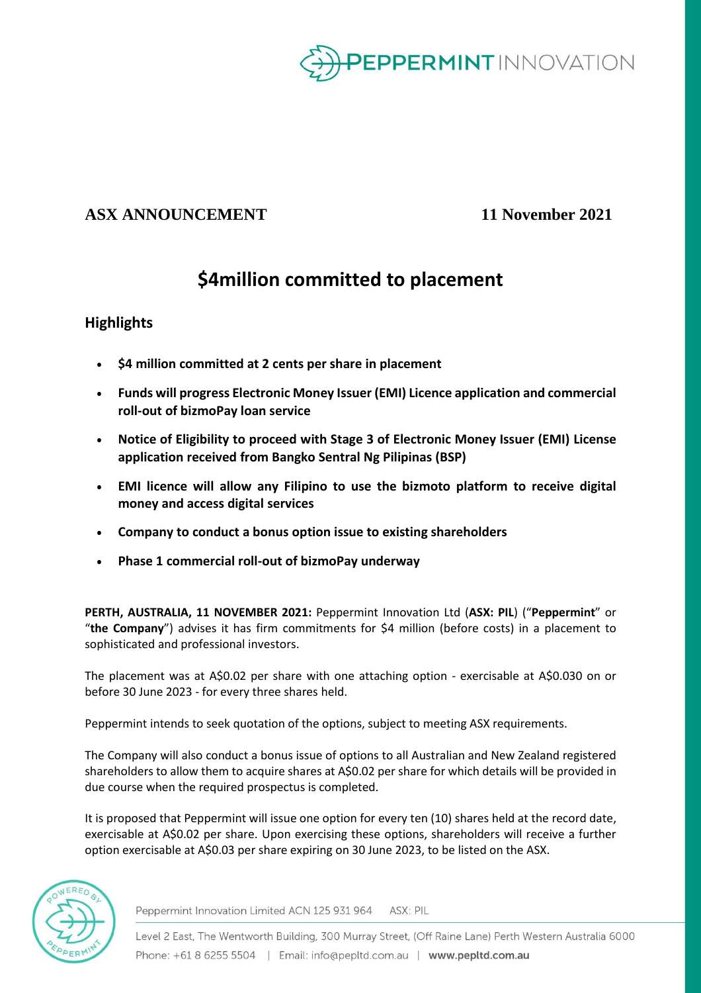

## **ASX ANNOUNCEMENT 11 November 2021**

# **\$4million committed to placement**

## **Highlights**

- **\$4 million committed at 2 cents per share in placement**
- **Funds will progress Electronic Money Issuer (EMI) Licence application and commercial roll-out of bizmoPay loan service**
- **Notice of Eligibility to proceed with Stage 3 of Electronic Money Issuer (EMI) License application received from Bangko Sentral Ng Pilipinas (BSP)**
- **EMI licence will allow any Filipino to use the bizmoto platform to receive digital money and access digital services**
- **Company to conduct a bonus option issue to existing shareholders**
- **Phase 1 commercial roll-out of bizmoPay underway**

**PERTH, AUSTRALIA, 11 NOVEMBER 2021:** Peppermint Innovation Ltd (**ASX: PIL**) ("**Peppermint**" or "**the Company**") advises it has firm commitments for \$4 million (before costs) in a placement to sophisticated and professional investors.

The placement was at A\$0.02 per share with one attaching option - exercisable at A\$0.030 on or before 30 June 2023 - for every three shares held.

Peppermint intends to seek quotation of the options, subject to meeting ASX requirements.

The Company will also conduct a bonus issue of options to all Australian and New Zealand registered shareholders to allow them to acquire shares at A\$0.02 per share for which details will be provided in due course when the required prospectus is completed.

It is proposed that Peppermint will issue one option for every ten (10) shares held at the record date, exercisable at A\$0.02 per share. Upon exercising these options, shareholders will receive a further option exercisable at A\$0.03 per share expiring on 30 June 2023, to be listed on the ASX.



Peppermint Innovation Limited ACN 125 931 964 ASX: PIL

Level 2 East, The Wentworth Building, 300 Murray Street, (Off Raine Lane) Perth Western Australia 6000 Phone: +61 8 6255 5504 | Email: info@pepltd.com.au | www.pepltd.com.au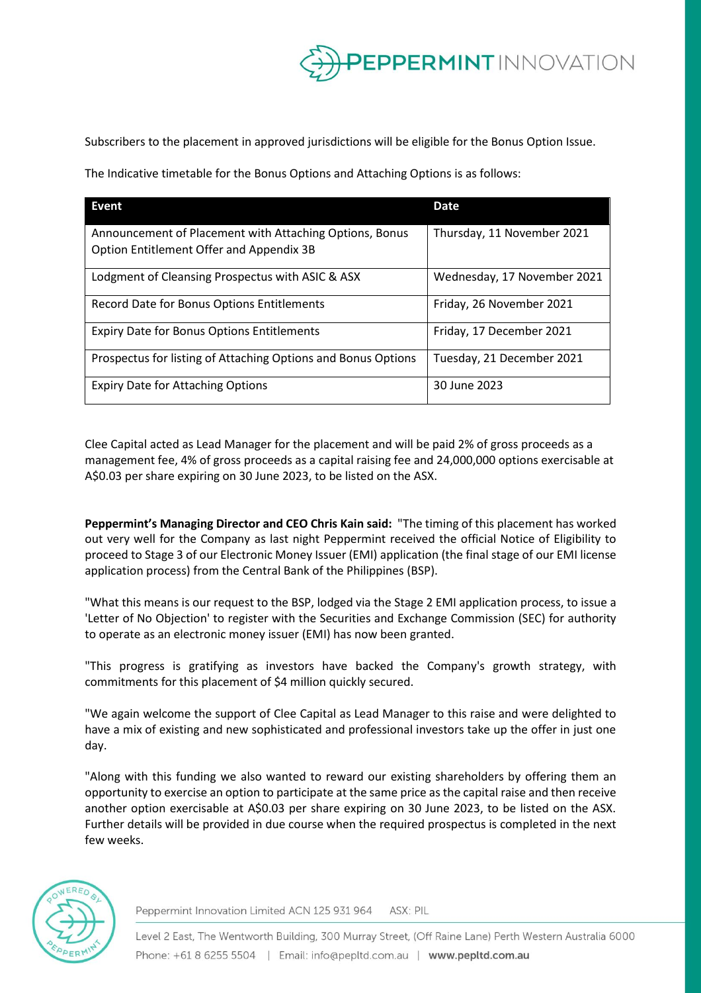

Subscribers to the placement in approved jurisdictions will be eligible for the Bonus Option Issue.

The Indicative timetable for the Bonus Options and Attaching Options is as follows:

| Event                                                                                               | <b>Date</b>                 |
|-----------------------------------------------------------------------------------------------------|-----------------------------|
| Announcement of Placement with Attaching Options, Bonus<br>Option Entitlement Offer and Appendix 3B | Thursday, 11 November 2021  |
| Lodgment of Cleansing Prospectus with ASIC & ASX                                                    | Wednesday, 17 November 2021 |
| Record Date for Bonus Options Entitlements                                                          | Friday, 26 November 2021    |
| <b>Expiry Date for Bonus Options Entitlements</b>                                                   | Friday, 17 December 2021    |
| Prospectus for listing of Attaching Options and Bonus Options                                       | Tuesday, 21 December 2021   |
| <b>Expiry Date for Attaching Options</b>                                                            | 30 June 2023                |

Clee Capital acted as Lead Manager for the placement and will be paid 2% of gross proceeds as a management fee, 4% of gross proceeds as a capital raising fee and 24,000,000 options exercisable at A\$0.03 per share expiring on 30 June 2023, to be listed on the ASX.

**Peppermint's Managing Director and CEO Chris Kain said:** "The timing of this placement has worked out very well for the Company as last night Peppermint received the official Notice of Eligibility to proceed to Stage 3 of our Electronic Money Issuer (EMI) application (the final stage of our EMI license application process) from the Central Bank of the Philippines (BSP).

"What this means is our request to the BSP, lodged via the Stage 2 EMI application process, to issue a 'Letter of No Objection' to register with the Securities and Exchange Commission (SEC) for authority to operate as an electronic money issuer (EMI) has now been granted.

"This progress is gratifying as investors have backed the Company's growth strategy, with commitments for this placement of \$4 million quickly secured.

"We again welcome the support of Clee Capital as Lead Manager to this raise and were delighted to have a mix of existing and new sophisticated and professional investors take up the offer in just one day.

"Along with this funding we also wanted to reward our existing shareholders by offering them an opportunity to exercise an option to participate at the same price as the capital raise and then receive another option exercisable at A\$0.03 per share expiring on 30 June 2023, to be listed on the ASX. Further details will be provided in due course when the required prospectus is completed in the next few weeks.



Peppermint Innovation Limited ACN 125 931 964 ASX: PIL

Level 2 East, The Wentworth Building, 300 Murray Street, (Off Raine Lane) Perth Western Australia 6000 Phone: +61 8 6255 5504 | Email: info@pepltd.com.au | www.pepltd.com.au